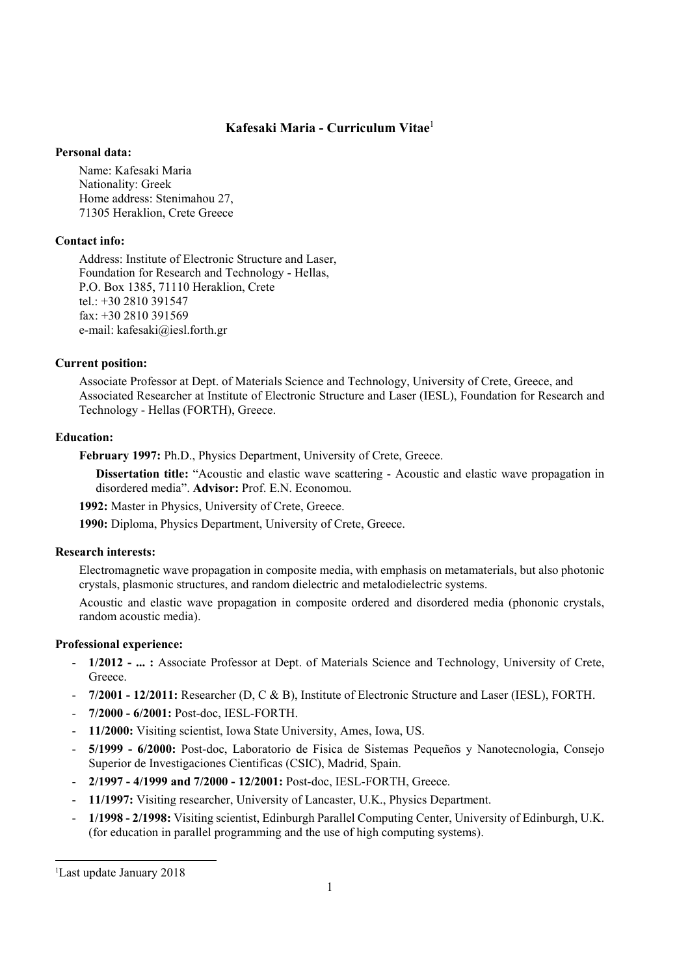# **Kafesaki Maria - Curriculum Vitae**<sup>1</sup>

#### **Personal data:**

Name: Kafesaki Maria Nationality: Greek Home address: Stenimahou 27, 71305 Heraklion, Crete Greece

### **Contact info:**

Address: Institute of Electronic Structure and Laser, Foundation for Research and Technology - Hellas, P.O. Box 1385, 71110 Heraklion, Crete tel.: +30 2810 391547 fax: +30 2810 391569 e-mail: kafesaki@iesl.forth.gr

#### **Current position:**

 Associate Professor at Dept. of Materials Science and Technology, University of Crete, Greece, and Associated Researcher at Institute of Electronic Structure and Laser (IESL), Foundation for Research and Technology - Hellas (FORTH), Greece.

#### **Education:**

**February 1997:** Ph.D., Physics Department, University of Crete, Greece.

**Dissertation title:** "Acoustic and elastic wave scattering - Acoustic and elastic wave propagation in disordered media". **Advisor:** Prof. E.N. Economou.

**1992:** Master in Physics, University of Crete, Greece.

**1990:** Diploma, Physics Department, University of Crete, Greece.

## **Research interests:**

 Electromagnetic wave propagation in composite media, with emphasis on metamaterials, but also photonic crystals, plasmonic structures, and random dielectric and metalodielectric systems.

 Acoustic and elastic wave propagation in composite ordered and disordered media (phononic crystals, random acoustic media).

### **Professional experience:**

- **1/2012 ... :** Associate Professor at Dept. of Materials Science and Technology, University of Crete, Greece.
- **7/2001 12/2011:** Researcher (D, C & B), Institute of Electronic Structure and Laser (IESL), FORTH.
- **7/2000 6/2001:** Post-doc, IESL-FORTH.
- **11/2000:** Visiting scientist, Iowa State University, Ames, Iowa, US.
- **5/1999 6/2000:** Post-doc, Laboratorio de Fisica de Sistemas Pequeños y Nanotecnologia, Consejo Superior de Investigaciones Cientificas (CSIC), Madrid, Spain.
- **2/1997 4/1999 and 7/2000 12/2001:** Post-doc, IESL-FORTH, Greece.
- **11/1997:** Visiting researcher, University of Lancaster, U.K., Physics Department.
- **1/1998 2/1998:** Visiting scientist, Edinburgh Parallel Computing Center, University of Edinburgh, U.K. (for education in parallel programming and the use of high computing systems).

1

<sup>1</sup> Last update January 2018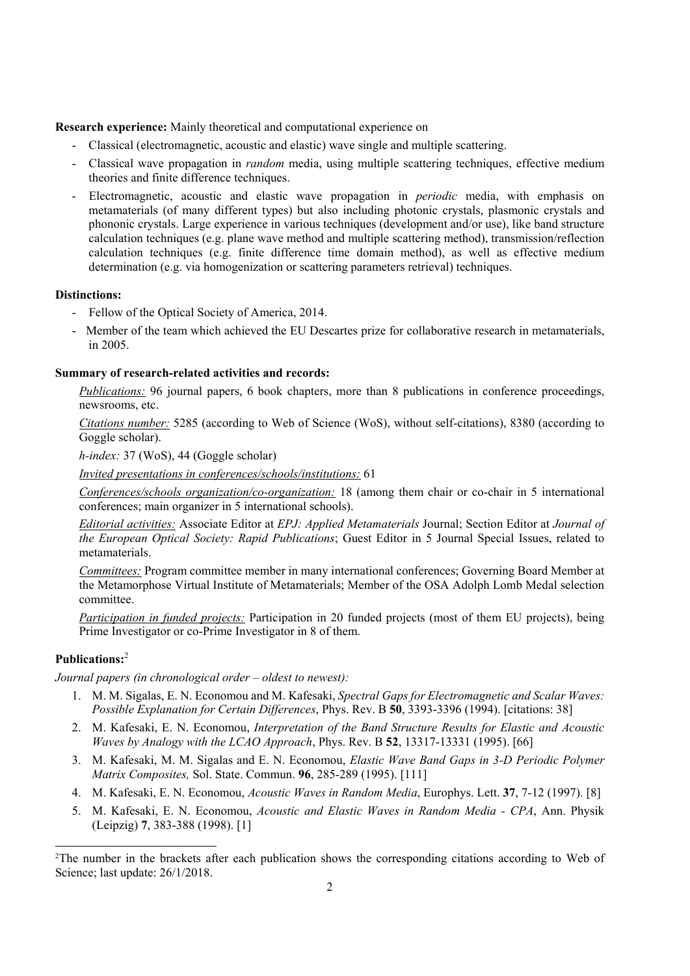**Research experience:** Mainly theoretical and computational experience on

- Classical (electromagnetic, acoustic and elastic) wave single and multiple scattering.
- Classical wave propagation in *random* media, using multiple scattering techniques, effective medium theories and finite difference techniques.
- Electromagnetic, acoustic and elastic wave propagation in *periodic* media, with emphasis on metamaterials (of many different types) but also including photonic crystals, plasmonic crystals and phononic crystals. Large experience in various techniques (development and/or use), like band structure calculation techniques (e.g. plane wave method and multiple scattering method), transmission/reflection calculation techniques (e.g. finite difference time domain method), as well as effective medium determination (e.g. via homogenization or scattering parameters retrieval) techniques.

#### **Distinctions:**

- Fellow of the Optical Society of America, 2014.
- Member of the team which achieved the EU Descartes prize for collaborative research in metamaterials, in 2005.

### **Summary of research-related activities and records:**

*Publications:* 96 journal papers, 6 book chapters, more than 8 publications in conference proceedings, newsrooms, etc.

*Citations number:* 5285 (according to Web of Science (WoS), without self-citations), 8380 (according to Goggle scholar).

*h-index:* 37 (WoS), 44 (Goggle scholar)

*Invited presentations in conferences/schools/institutions:* 61

*Conferences/schools organization/co-organization:* 18 (among them chair or co-chair in 5 international conferences; main organizer in 5 international schools).

*Editorial activities:* Associate Editor at *EPJ: Applied Metamaterials* Journal; Section Editor at *Journal of the European Optical Society: Rapid Publications*; Guest Editor in 5 Journal Special Issues, related to metamaterials.

*Committees:* Program committee member in many international conferences; Governing Board Member at the Metamorphose Virtual Institute of Metamaterials; Member of the OSA Adolph Lomb Medal selection committee.

*Participation in funded projects:* Participation in 20 funded projects (most of them EU projects), being Prime Investigator or co-Prime Investigator in 8 of them.

# **Publications:**<sup>2</sup>

1

*Journal papers (in chronological order – oldest to newest):*

- 1. M. M. Sigalas, E. N. Economou and M. Kafesaki, *Spectral Gaps for Electromagnetic and Scalar Waves: Possible Explanation for Certain Differences*, Phys. Rev. B **50**, 3393-3396 (1994). [citations: 38]
- 2. M. Kafesaki, E. N. Economou, *Interpretation of the Band Structure Results for Elastic and Acoustic Waves by Analogy with the LCAO Approach*, Phys. Rev. B **52**, 13317-13331 (1995). [66]
- 3. M. Kafesaki, M. M. Sigalas and E. N. Economou, *Elastic Wave Band Gaps in 3-D Periodic Polymer Matrix Composites,* Sol. State. Commun. **96**, 285-289 (1995). [111]
- 4. M. Kafesaki, E. N. Economou, *Acoustic Waves in Random Media*, Europhys. Lett. **37**, 7-12 (1997). [8]
- 5. M. Kafesaki, E. N. Economou, *Acoustic and Elastic Waves in Random Media CPA*, Ann. Physik (Leipzig) **7**, 383-388 (1998). [1]

<sup>2</sup>The number in the brackets after each publication shows the corresponding citations according to Web of Science; last update: 26/1/2018.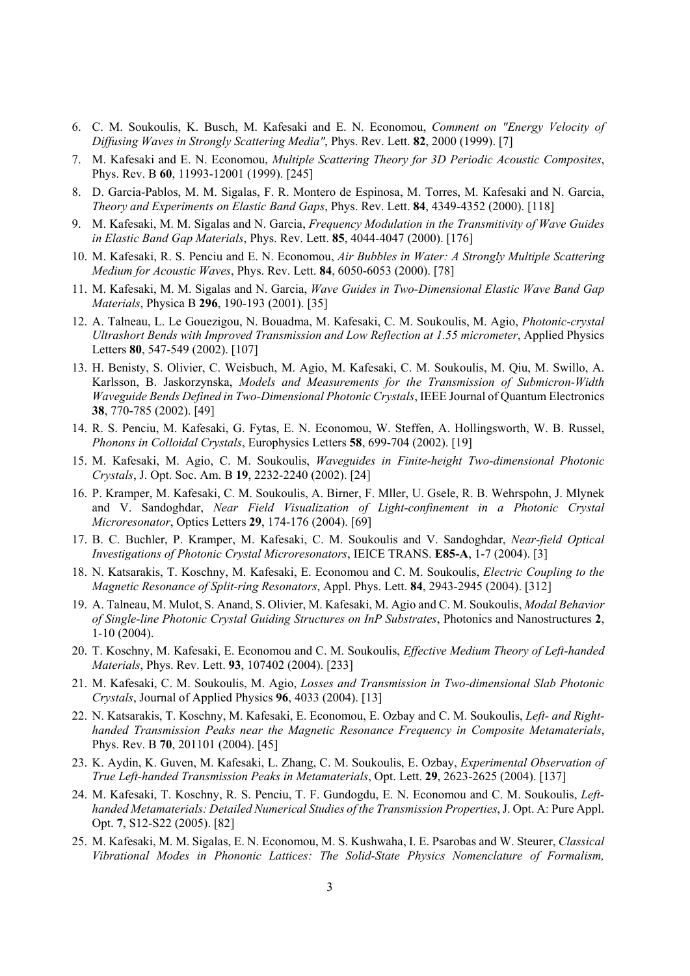- 6. C. M. Soukoulis, K. Busch, M. Kafesaki and E. N. Economou, *Comment on "Energy Velocity of Diffusing Waves in Strongly Scattering Media"*, Phys. Rev. Lett. **82**, 2000 (1999). [7]
- 7. M. Kafesaki and E. N. Economou, *Multiple Scattering Theory for 3D Periodic Acoustic Composites*, Phys. Rev. B **60**, 11993-12001 (1999). [245]
- 8. D. Garcia-Pablos, M. M. Sigalas, F. R. Montero de Espinosa, M. Torres, M. Kafesaki and N. Garcia, *Theory and Experiments on Elastic Band Gaps*, Phys. Rev. Lett. **84**, 4349-4352 (2000). [118]
- 9. M. Kafesaki, M. M. Sigalas and N. Garcia, *Frequency Modulation in the Transmitivity of Wave Guides in Elastic Band Gap Materials*, Phys. Rev. Lett. **85**, 4044-4047 (2000). [176]
- 10. M. Kafesaki, R. S. Penciu and E. N. Economou, *Air Bubbles in Water: A Strongly Multiple Scattering Medium for Acoustic Waves*, Phys. Rev. Lett. **84**, 6050-6053 (2000). [78]
- 11. M. Kafesaki, M. M. Sigalas and N. Garcia, *Wave Guides in Two-Dimensional Elastic Wave Band Gap Materials*, Physica B **296**, 190-193 (2001). [35]
- 12. A. Talneau, L. Le Gouezigou, N. Bouadma, M. Kafesaki, C. M. Soukoulis, M. Agio, *Photonic-crystal Ultrashort Bends with Improved Transmission and Low Reflection at 1.55 micrometer*, Applied Physics Letters **80**, 547-549 (2002). [107]
- 13. H. Benisty, S. Olivier, C. Weisbuch, M. Agio, M. Kafesaki, C. M. Soukoulis, M. Qiu, M. Swillo, A. Karlsson, B. Jaskorzynska, *Models and Measurements for the Transmission of Submicron-Width Waveguide Bends Defined in Two-Dimensional Photonic Crystals*, IEEE Journal of Quantum Electronics **38**, 770-785 (2002). [49]
- 14. R. S. Penciu, M. Kafesaki, G. Fytas, E. N. Economou, W. Steffen, A. Hollingsworth, W. B. Russel, *Phonons in Colloidal Crystals*, Europhysics Letters **58**, 699-704 (2002). [19]
- 15. M. Kafesaki, M. Agio, C. M. Soukoulis, *Waveguides in Finite-height Two-dimensional Photonic Crystals*, J. Opt. Soc. Am. B **19**, 2232-2240 (2002). [24]
- 16. P. Kramper, M. Kafesaki, C. M. Soukoulis, A. Birner, F. Mller, U. Gsele, R. B. Wehrspohn, J. Mlynek and V. Sandoghdar, *Near Field Visualization of Light-confinement in a Photonic Crystal Microresonator*, Optics Letters **29**, 174-176 (2004). [69]
- 17. B. C. Buchler, P. Kramper, M. Kafesaki, C. M. Soukoulis and V. Sandoghdar, *Near-field Optical Investigations of Photonic Crystal Microresonators*, IEICE TRANS. **E85-A**, 1-7 (2004). [3]
- 18. N. Katsarakis, T. Koschny, M. Kafesaki, E. Economou and C. M. Soukoulis, *Electric Coupling to the Magnetic Resonance of Split-ring Resonators*, Appl. Phys. Lett. **84**, 2943-2945 (2004). [312]
- 19. A. Talneau, M. Mulot, S. Anand, S. Olivier, M. Kafesaki, M. Agio and C. M. Soukoulis, *Modal Behavior of Single-line Photonic Crystal Guiding Structures on InP Substrates*, Photonics and Nanostructures **2**, 1-10 (2004).
- 20. T. Koschny, M. Kafesaki, E. Economou and C. M. Soukoulis, *Effective Medium Theory of Left-handed Materials*, Phys. Rev. Lett. **93**, 107402 (2004). [233]
- 21. M. Kafesaki, C. M. Soukoulis, M. Agio, *Losses and Transmission in Two-dimensional Slab Photonic Crystals*, Journal of Applied Physics **96**, 4033 (2004). [13]
- 22. N. Katsarakis, T. Koschny, M. Kafesaki, E. Economou, E. Ozbay and C. M. Soukoulis, *Left- and Righthanded Transmission Peaks near the Magnetic Resonance Frequency in Composite Metamaterials*, Phys. Rev. B **70**, 201101 (2004). [45]
- 23. K. Aydin, K. Guven, M. Kafesaki, L. Zhang, C. M. Soukoulis, E. Ozbay, *Experimental Observation of True Left-handed Transmission Peaks in Metamaterials*, Opt. Lett. **29**, 2623-2625 (2004). [137]
- 24. M. Kafesaki, T. Koschny, R. S. Penciu, T. F. Gundogdu, E. N. Economou and C. M. Soukoulis, *Lefthanded Metamaterials: Detailed Numerical Studies of the Transmission Properties*, J. Opt. A: Pure Appl. Opt. **7**, S12-S22 (2005). [82]
- 25. M. Kafesaki, M. M. Sigalas, E. N. Economou, M. S. Kushwaha, I. E. Psarobas and W. Steurer, *Classical Vibrational Modes in Phononic Lattices: The Solid-State Physics Nomenclature of Formalism,*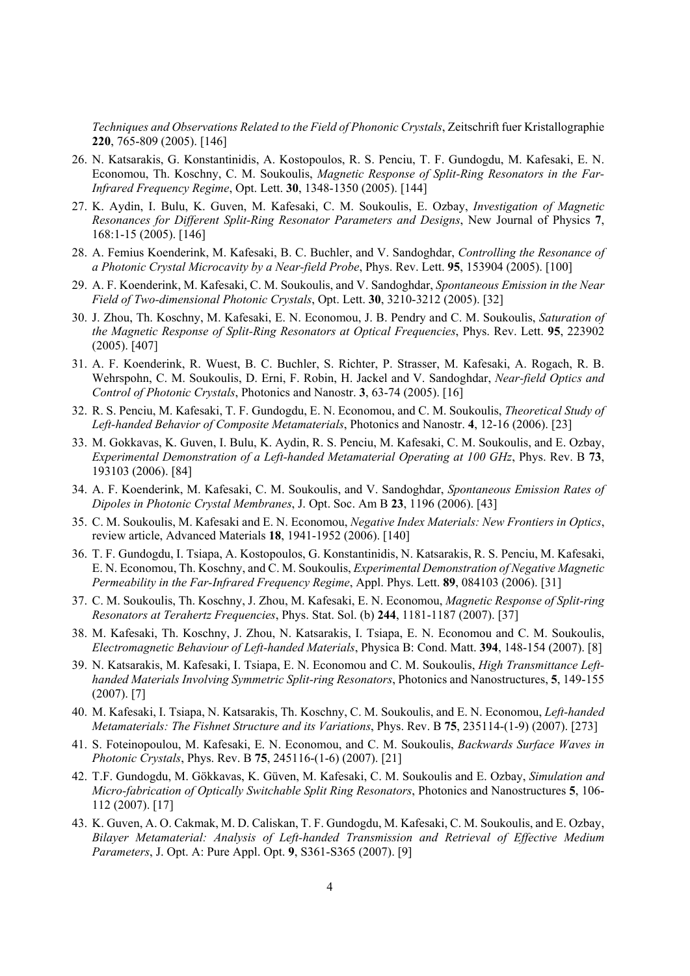*Techniques and Observations Related to the Field of Phononic Crystals*, Zeitschrift fuer Kristallographie **220**, 765-809 (2005). [146]

- 26. N. Katsarakis, G. Konstantinidis, A. Kostopoulos, R. S. Penciu, T. F. Gundogdu, M. Kafesaki, E. N. Economou, Th. Koschny, C. M. Soukoulis, *Magnetic Response of Split-Ring Resonators in the Far-Infrared Frequency Regime*, Opt. Lett. **30**, 1348-1350 (2005). [144]
- 27. K. Aydin, I. Bulu, K. Guven, M. Kafesaki, C. M. Soukoulis, E. Ozbay, *Investigation of Magnetic Resonances for Different Split-Ring Resonator Parameters and Designs*, New Journal of Physics **7**, 168:1-15 (2005). [146]
- 28. A. Femius Koenderink, M. Kafesaki, B. C. Buchler, and V. Sandoghdar, *Controlling the Resonance of a Photonic Crystal Microcavity by a Near-field Probe*, Phys. Rev. Lett. **95**, 153904 (2005). [100]
- 29. A. F. Koenderink, M. Kafesaki, C. M. Soukoulis, and V. Sandoghdar, *Spontaneous Emission in the Near Field of Two-dimensional Photonic Crystals*, Opt. Lett. **30**, 3210-3212 (2005). [32]
- 30. J. Zhou, Th. Koschny, M. Kafesaki, E. N. Economou, J. B. Pendry and C. M. Soukoulis, *Saturation of the Magnetic Response of Split-Ring Resonators at Optical Frequencies*, Phys. Rev. Lett. **95**, 223902 (2005). [407]
- 31. A. F. Koenderink, R. Wuest, B. C. Buchler, S. Richter, P. Strasser, M. Kafesaki, A. Rogach, R. B. Wehrspohn, C. M. Soukoulis, D. Erni, F. Robin, H. Jackel and V. Sandoghdar, *Near-field Optics and Control of Photonic Crystals*, Photonics and Nanostr. **3**, 63-74 (2005). [16]
- 32. R. S. Penciu, M. Kafesaki, T. F. Gundogdu, E. N. Economou, and C. M. Soukoulis, *Theoretical Study of Left-handed Behavior of Composite Metamaterials*, Photonics and Nanostr. **4**, 12-16 (2006). [23]
- 33. M. Gokkavas, K. Guven, I. Bulu, K. Aydin, R. S. Penciu, M. Kafesaki, C. M. Soukoulis, and E. Ozbay, *Experimental Demonstration of a Left-handed Metamaterial Operating at 100 GHz*, Phys. Rev. B **73**, 193103 (2006). [84]
- 34. A. F. Koenderink, M. Kafesaki, C. M. Soukoulis, and V. Sandoghdar, *Spontaneous Emission Rates of Dipoles in Photonic Crystal Membranes*, J. Opt. Soc. Am B **23**, 1196 (2006). [43]
- 35. C. M. Soukoulis, M. Kafesaki and E. N. Economou, *Negative Index Materials: New Frontiers in Optics*, review article, Advanced Materials **18**, 1941-1952 (2006). [140]
- 36. T. F. Gundogdu, I. Tsiapa, A. Kostopoulos, G. Konstantinidis, N. Katsarakis, R. S. Penciu, M. Kafesaki, E. N. Economou, Th. Koschny, and C. M. Soukoulis, *Experimental Demonstration of Negative Magnetic Permeability in the Far-Infrared Frequency Regime*, Appl. Phys. Lett. **89**, 084103 (2006). [31]
- 37. C. M. Soukoulis, Th. Koschny, J. Zhou, M. Kafesaki, E. N. Economou, *Magnetic Response of Split-ring Resonators at Terahertz Frequencies*, Phys. Stat. Sol. (b) **244**, 1181-1187 (2007). [37]
- 38. M. Kafesaki, Th. Koschny, J. Zhou, N. Katsarakis, I. Tsiapa, E. N. Economou and C. M. Soukoulis, *Electromagnetic Behaviour of Left-handed Materials*, Physica B: Cond. Matt. **394**, 148-154 (2007). [8]
- 39. N. Katsarakis, M. Kafesaki, I. Tsiapa, E. N. Economou and C. M. Soukoulis, *High Transmittance Lefthanded Materials Involving Symmetric Split-ring Resonators*, Photonics and Nanostructures, **5**, 149-155 (2007). [7]
- 40. M. Kafesaki, I. Tsiapa, N. Katsarakis, Th. Koschny, C. M. Soukoulis, and E. N. Economou, *Left-handed Metamaterials: The Fishnet Structure and its Variations*, Phys. Rev. B **75**, 235114-(1-9) (2007). [273]
- 41. S. Foteinopoulou, M. Kafesaki, E. N. Economou, and C. M. Soukoulis, *Backwards Surface Waves in Photonic Crystals*, Phys. Rev. B **75**, 245116-(1-6) (2007). [21]
- 42. T.F. Gundogdu, M. Gökkavas, K. Güven, M. Kafesaki, C. M. Soukoulis and E. Ozbay, *Simulation and Micro-fabrication of Optically Switchable Split Ring Resonators*, Photonics and Nanostructures **5**, 106- 112 (2007). [17]
- 43. K. Guven, A. O. Cakmak, M. D. Caliskan, T. F. Gundogdu, M. Kafesaki, C. M. Soukoulis, and E. Ozbay, *Bilayer Metamaterial: Analysis of Left-handed Transmission and Retrieval of Effective Medium Parameters*, J. Opt. A: Pure Appl. Opt. **9**, S361-S365 (2007). [9]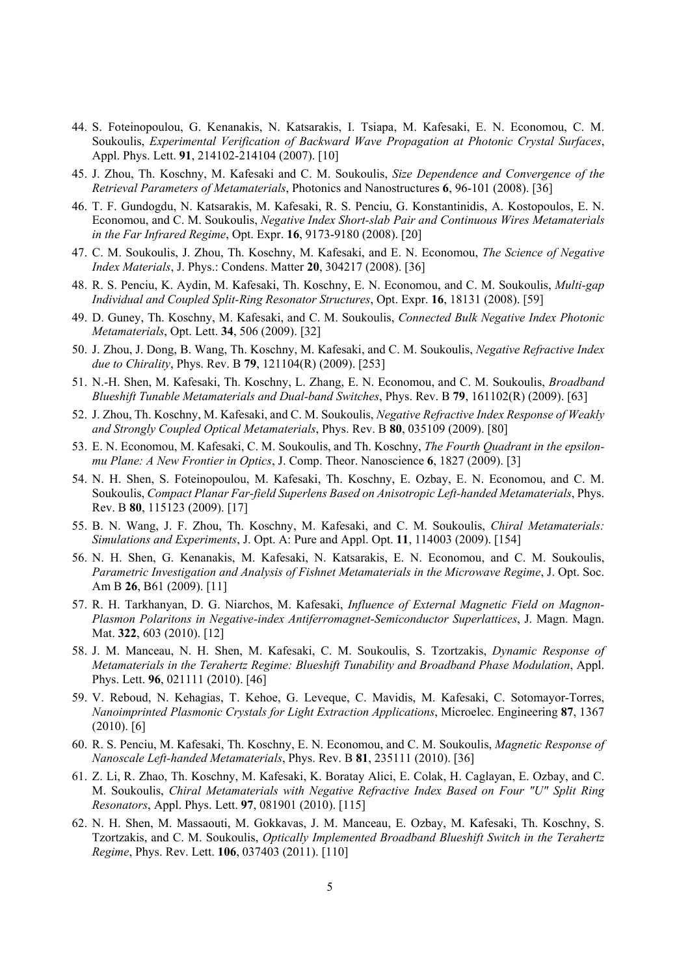- 44. S. Foteinopoulou, G. Kenanakis, N. Katsarakis, I. Tsiapa, M. Kafesaki, E. N. Economou, C. M. Soukoulis, *Experimental Verification of Backward Wave Propagation at Photonic Crystal Surfaces*, Appl. Phys. Lett. **91**, 214102-214104 (2007). [10]
- 45. J. Zhou, Th. Koschny, M. Kafesaki and C. M. Soukoulis, *Size Dependence and Convergence of the Retrieval Parameters of Metamaterials*, Photonics and Nanostructures **6**, 96-101 (2008). [36]
- 46. T. F. Gundogdu, N. Katsarakis, M. Kafesaki, R. S. Penciu, G. Konstantinidis, A. Kostopoulos, E. N. Economou, and C. M. Soukoulis, *Negative Index Short-slab Pair and Continuous Wires Metamaterials in the Far Infrared Regime*, Opt. Expr. **16**, 9173-9180 (2008). [20]
- 47. C. M. Soukoulis, J. Zhou, Th. Koschny, M. Kafesaki, and E. N. Economou, *The Science of Negative Index Materials*, J. Phys.: Condens. Matter **20**, 304217 (2008). [36]
- 48. R. S. Penciu, K. Aydin, M. Kafesaki, Th. Koschny, E. N. Economou, and C. M. Soukoulis, *Multi-gap Individual and Coupled Split-Ring Resonator Structures*, Opt. Expr. **16**, 18131 (2008). [59]
- 49. D. Guney, Th. Koschny, M. Kafesaki, and C. M. Soukoulis, *Connected Bulk Negative Index Photonic Metamaterials*, Opt. Lett. **34**, 506 (2009). [32]
- 50. J. Zhou, J. Dong, B. Wang, Th. Koschny, M. Kafesaki, and C. M. Soukoulis, *Negative Refractive Index due to Chirality*, Phys. Rev. B **79**, 121104(R) (2009). [253]
- 51. N.-H. Shen, M. Kafesaki, Th. Koschny, L. Zhang, E. N. Economou, and C. M. Soukoulis, *Broadband Blueshift Tunable Metamaterials and Dual-band Switches*, Phys. Rev. B **79**, 161102(R) (2009). [63]
- 52. J. Zhou, Th. Koschny, M. Kafesaki, and C. M. Soukoulis, *Negative Refractive Index Response of Weakly and Strongly Coupled Optical Metamaterials*, Phys. Rev. B **80**, 035109 (2009). [80]
- 53. E. N. Economou, M. Kafesaki, C. M. Soukoulis, and Th. Koschny, *The Fourth Quadrant in the epsilonmu Plane: A New Frontier in Optics*, J. Comp. Theor. Nanoscience **6**, 1827 (2009). [3]
- 54. N. H. Shen, S. Foteinopoulou, M. Kafesaki, Th. Koschny, E. Ozbay, E. N. Economou, and C. M. Soukoulis, *Compact Planar Far-field Superlens Based on Anisotropic Left-handed Metamaterials*, Phys. Rev. B **80**, 115123 (2009). [17]
- 55. B. N. Wang, J. F. Zhou, Th. Koschny, M. Kafesaki, and C. M. Soukoulis, *Chiral Metamaterials: Simulations and Experiments*, J. Opt. A: Pure and Appl. Opt. **11**, 114003 (2009). [154]
- 56. N. H. Shen, G. Kenanakis, M. Kafesaki, N. Katsarakis, E. N. Economou, and C. M. Soukoulis, *Parametric Investigation and Analysis of Fishnet Metamaterials in the Microwave Regime*, J. Opt. Soc. Am B **26**, B61 (2009). [11]
- 57. R. H. Tarkhanyan, D. G. Niarchos, M. Kafesaki, *Influence of External Magnetic Field on Magnon-Plasmon Polaritons in Negative-index Antiferromagnet-Semiconductor Superlattices*, J. Magn. Magn. Mat. **322**, 603 (2010). [12]
- 58. J. M. Manceau, N. H. Shen, M. Kafesaki, C. M. Soukoulis, S. Tzortzakis, *Dynamic Response of Metamaterials in the Terahertz Regime: Blueshift Tunability and Broadband Phase Modulation*, Appl. Phys. Lett. **96**, 021111 (2010). [46]
- 59. V. Reboud, N. Kehagias, T. Kehoe, G. Leveque, C. Mavidis, M. Kafesaki, C. Sotomayor-Torres, *Nanoimprinted Plasmonic Crystals for Light Extraction Applications*, Microelec. Engineering **87**, 1367  $(2010)$ . [6]
- 60. R. S. Penciu, M. Kafesaki, Th. Koschny, E. N. Economou, and C. M. Soukoulis, *Magnetic Response of Nanoscale Left-handed Metamaterials*, Phys. Rev. B **81**, 235111 (2010). [36]
- 61. Z. Li, R. Zhao, Th. Koschny, M. Kafesaki, K. Boratay Alici, E. Colak, H. Caglayan, E. Ozbay, and C. M. Soukoulis, *Chiral Metamaterials with Negative Refractive Index Based on Four "U" Split Ring Resonators*, Appl. Phys. Lett. **97**, 081901 (2010). [115]
- 62. N. H. Shen, M. Massaouti, M. Gokkavas, J. M. Manceau, E. Ozbay, M. Kafesaki, Th. Koschny, S. Tzortzakis, and C. M. Soukoulis, *Optically Implemented Broadband Blueshift Switch in the Terahertz Regime*, Phys. Rev. Lett. **106**, 037403 (2011). [110]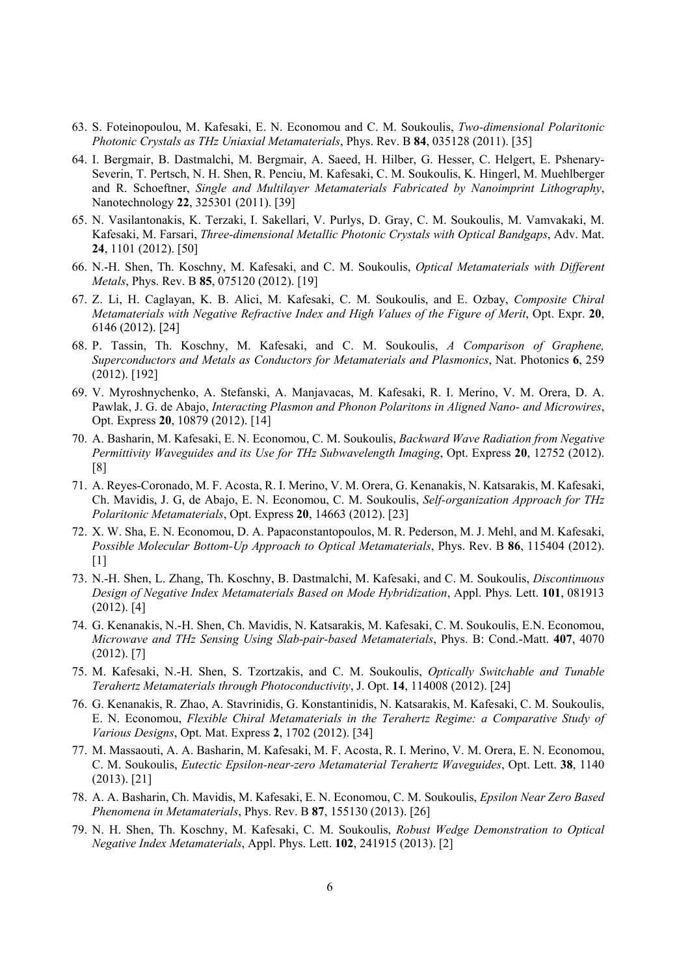- 63. S. Foteinopoulou, M. Kafesaki, E. N. Economou and C. M. Soukoulis, *Two-dimensional Polaritonic Photonic Crystals as THz Uniaxial Metamaterials*, Phys. Rev. B **84**, 035128 (2011). [35]
- 64. I. Bergmair, B. Dastmalchi, M. Bergmair, A. Saeed, H. Hilber, G. Hesser, C. Helgert, E. Pshenary-Severin, T. Pertsch, N. H. Shen, R. Penciu, M. Kafesaki, C. M. Soukoulis, K. Hingerl, M. Muehlberger and R. Schoeftner, *Single and Multilayer Metamaterials Fabricated by Nanoimprint Lithography*, Nanotechnology **22**, 325301 (2011). [39]
- 65. N. Vasilantonakis, K. Terzaki, I. Sakellari, V. Purlys, D. Gray, C. M. Soukoulis, M. Vamvakaki, M. Kafesaki, M. Farsari, *Three-dimensional Metallic Photonic Crystals with Optical Bandgaps*, Adv. Mat. **24**, 1101 (2012). [50]
- 66. N.-H. Shen, Th. Koschny, M. Kafesaki, and C. M. Soukoulis, *Optical Metamaterials with Different Metals*, Phys. Rev. B **85**, 075120 (2012). [19]
- 67. Z. Li, H. Caglayan, K. B. Alici, M. Kafesaki, C. M. Soukoulis, and E. Ozbay, *Composite Chiral Metamaterials with Negative Refractive Index and High Values of the Figure of Merit*, Opt. Expr. **20**, 6146 (2012). [24]
- 68. P. Tassin, Th. Koschny, M. Kafesaki, and C. M. Soukoulis, *A Comparison of Graphene, Superconductors and Metals as Conductors for Metamaterials and Plasmonics*, Nat. Photonics **6**, 259 (2012). [192]
- 69. V. Myroshnychenko, A. Stefanski, A. Manjavacas, M. Kafesaki, R. I. Merino, V. M. Orera, D. A. Pawlak, J. G. de Abajo, *Interacting Plasmon and Phonon Polaritons in Aligned Nano- and Microwires*, Opt. Express **20**, 10879 (2012). [14]
- 70. A. Basharin, M. Kafesaki, E. N. Economou, C. M. Soukoulis, *Backward Wave Radiation from Negative Permittivity Waveguides and its Use for THz Subwavelength Imaging*, Opt. Express **20**, 12752 (2012). [8]
- 71. A. Reyes-Coronado, M. F. Acosta, R. I. Merino, V. M. Orera, G. Kenanakis, N. Katsarakis, M. Kafesaki, Ch. Mavidis, J. G, de Abajo, E. N. Economou, C. M. Soukoulis, *Self-organization Approach for THz Polaritonic Metamaterials*, Opt. Express **20**, 14663 (2012). [23]
- 72. X. W. Sha, E. N. Economou, D. A. Papaconstantopoulos, M. R. Pederson, M. J. Mehl, and M. Kafesaki, *Possible Molecular Bottom-Up Approach to Optical Metamaterials, Phys. Rev. B 86, 115404 (2012).* [1]
- 73. N.-H. Shen, L. Zhang, Th. Koschny, B. Dastmalchi, M. Kafesaki, and C. M. Soukoulis, *Discontinuous Design of Negative Index Metamaterials Based on Mode Hybridization*, Appl. Phys. Lett. **101**, 081913 (2012). [4]
- 74. G. Kenanakis, N.-H. Shen, Ch. Mavidis, N. Katsarakis, M. Kafesaki, C. M. Soukoulis, E.N. Economou, *Microwave and THz Sensing Using Slab-pair-based Metamaterials*, Phys. B: Cond.-Matt. **407**, 4070 (2012). [7]
- 75. M. Kafesaki, N.-H. Shen, S. Tzortzakis, and C. M. Soukoulis, *Optically Switchable and Tunable Terahertz Metamaterials through Photoconductivity*, J. Opt. **14**, 114008 (2012). [24]
- 76. G. Kenanakis, R. Zhao, A. Stavrinidis, G. Konstantinidis, N. Katsarakis, M. Kafesaki, C. M. Soukoulis, E. N. Economou, *Flexible Chiral Metamaterials in the Terahertz Regime: a Comparative Study of Various Designs*, Opt. Mat. Express **2**, 1702 (2012). [34]
- 77. M. Massaouti, A. A. Basharin, M. Kafesaki, M. F. Acosta, R. I. Merino, V. M. Orera, E. N. Economou, C. M. Soukoulis, *Eutectic Epsilon-near-zero Metamaterial Terahertz Waveguides*, Opt. Lett. **38**, 1140 (2013). [21]
- 78. A. A. Basharin, Ch. Mavidis, M. Kafesaki, E. N. Economou, C. M. Soukoulis, *Epsilon Near Zero Based Phenomena in Metamaterials*, Phys. Rev. B **87**, 155130 (2013). [26]
- 79. N. H. Shen, Th. Koschny, M. Kafesaki, C. M. Soukoulis, *Robust Wedge Demonstration to Optical Negative Index Metamaterials*, Appl. Phys. Lett. **102**, 241915 (2013). [2]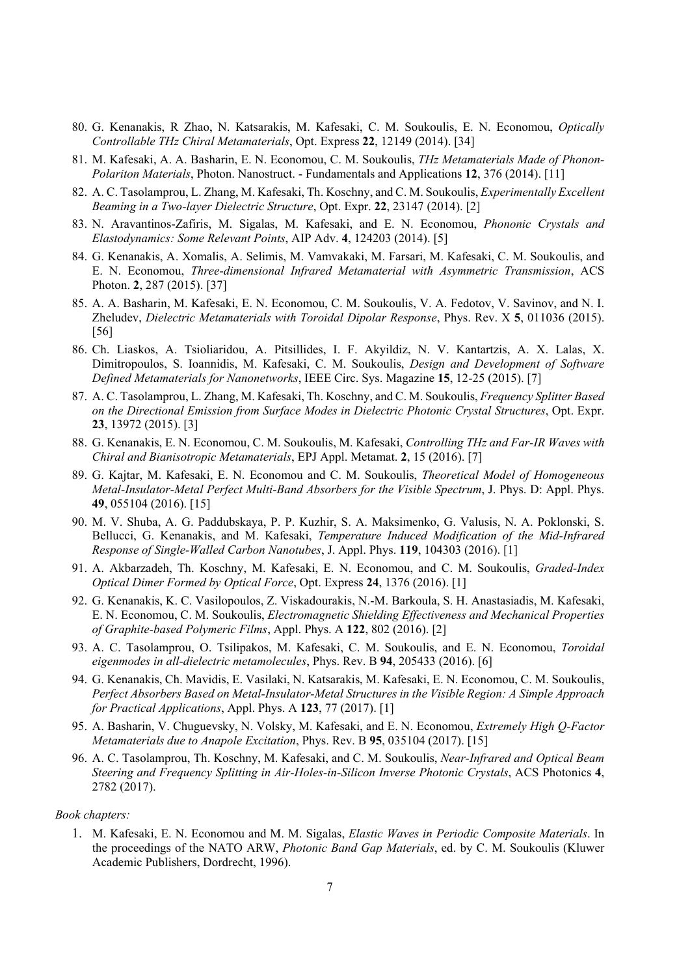- 80. G. Kenanakis, R Zhao, N. Katsarakis, M. Kafesaki, C. M. Soukoulis, E. N. Economou, *Optically Controllable THz Chiral Metamaterials*, Opt. Express **22**, 12149 (2014). [34]
- 81. M. Kafesaki, A. A. Basharin, E. N. Economou, C. M. Soukoulis, *THz Metamaterials Made of Phonon-Polariton Materials*, Photon. Nanostruct. - Fundamentals and Applications **12**, 376 (2014). [11]
- 82. A. C. Tasolamprou, L. Zhang, M. Kafesaki, Th. Koschny, and C. M. Soukoulis, *Experimentally Excellent Beaming in a Two-layer Dielectric Structure*, Opt. Expr. **22**, 23147 (2014). [2]
- 83. N. Aravantinos-Zafiris, M. Sigalas, M. Kafesaki, and E. N. Economou, *Phononic Crystals and Elastodynamics: Some Relevant Points*, AIP Adv. **4**, 124203 (2014). [5]
- 84. G. Kenanakis, A. Xomalis, A. Selimis, M. Vamvakaki, M. Farsari, M. Kafesaki, C. M. Soukoulis, and E. N. Economou, *Three-dimensional Infrared Metamaterial with Asymmetric Transmission*, ACS Photon. **2**, 287 (2015). [37]
- 85. A. A. Basharin, M. Kafesaki, E. N. Economou, C. M. Soukoulis, V. A. Fedotov, V. Savinov, and N. I. Zheludev, *Dielectric Metamaterials with Toroidal Dipolar Response*, Phys. Rev. X **5**, 011036 (2015). [56]
- 86. Ch. Liaskos, A. Tsioliaridou, A. Pitsillides, I. F. Akyildiz, N. V. Kantartzis, A. X. Lalas, X. Dimitropoulos, S. Ioannidis, M. Kafesaki, C. M. Soukoulis, *Design and Development of Software Defined Metamaterials for Nanonetworks*, IEEE Circ. Sys. Magazine **15**, 12-25 (2015). [7]
- 87. A. C. Tasolamprou, L. Zhang, M. Kafesaki, Th. Koschny, and C. M. Soukoulis, *Frequency Splitter Based on the Directional Emission from Surface Modes in Dielectric Photonic Crystal Structures*, Opt. Expr. **23**, 13972 (2015). [3]
- 88. G. Kenanakis, E. N. Economou, C. M. Soukoulis, M. Kafesaki, *Controlling THz and Far-IR Waves with Chiral and Bianisotropic Metamaterials*, EPJ Appl. Metamat. **2**, 15 (2016). [7]
- 89. G. Kajtar, M. Kafesaki, E. N. Economou and C. M. Soukoulis, *Theoretical Model of Homogeneous Metal-Insulator-Metal Perfect Multi-Band Absorbers for the Visible Spectrum*, J. Phys. D: Appl. Phys. **49**, 055104 (2016). [15]
- 90. M. V. Shuba, A. G. Paddubskaya, P. P. Kuzhir, S. A. Maksimenko, G. Valusis, N. A. Poklonski, S. Bellucci, G. Kenanakis, and M. Kafesaki, *Temperature Induced Modification of the Mid-Infrared Response of Single-Walled Carbon Nanotubes*, J. Appl. Phys. **119**, 104303 (2016). [1]
- 91. A. Akbarzadeh, Th. Koschny, M. Kafesaki, E. N. Economou, and C. M. Soukoulis, *Graded-Index Optical Dimer Formed by Optical Force*, Opt. Express **24**, 1376 (2016). [1]
- 92. G. Kenanakis, K. C. Vasilopoulos, Z. Viskadourakis, N.-M. Barkoula, S. H. Anastasiadis, M. Kafesaki, E. N. Economou, C. M. Soukoulis, *Electromagnetic Shielding Effectiveness and Mechanical Properties of Graphite-based Polymeric Films*, Appl. Phys. A **122**, 802 (2016). [2]
- 93. A. C. Tasolamprou, O. Tsilipakos, M. Kafesaki, C. M. Soukoulis, and E. N. Economou, *Toroidal eigenmodes in all-dielectric metamolecules*, Phys. Rev. B **94**, 205433 (2016). [6]
- 94. G. Kenanakis, Ch. Mavidis, E. Vasilaki, N. Katsarakis, M. Kafesaki, E. N. Economou, C. M. Soukoulis, *Perfect Absorbers Based on Metal-Insulator-Metal Structures in the Visible Region: A Simple Approach for Practical Applications*, Appl. Phys. A **123**, 77 (2017). [1]
- 95. A. Basharin, V. Chuguevsky, N. Volsky, M. Kafesaki, and E. N. Economou, *Extremely High Q-Factor Metamaterials due to Anapole Excitation*, Phys. Rev. B **95**, 035104 (2017). [15]
- 96. A. C. Tasolamprou, Th. Koschny, M. Kafesaki, and C. M. Soukoulis, *Near-Infrared and Optical Beam Steering and Frequency Splitting in Air-Holes-in-Silicon Inverse Photonic Crystals*, ACS Photonics **4**, 2782 (2017).

#### *Book chapters:*

1. M. Kafesaki, E. N. Economou and M. M. Sigalas, *Elastic Waves in Periodic Composite Materials*. In the proceedings of the NATO ARW, *Photonic Band Gap Materials*, ed. by C. M. Soukoulis (Kluwer Academic Publishers, Dordrecht, 1996).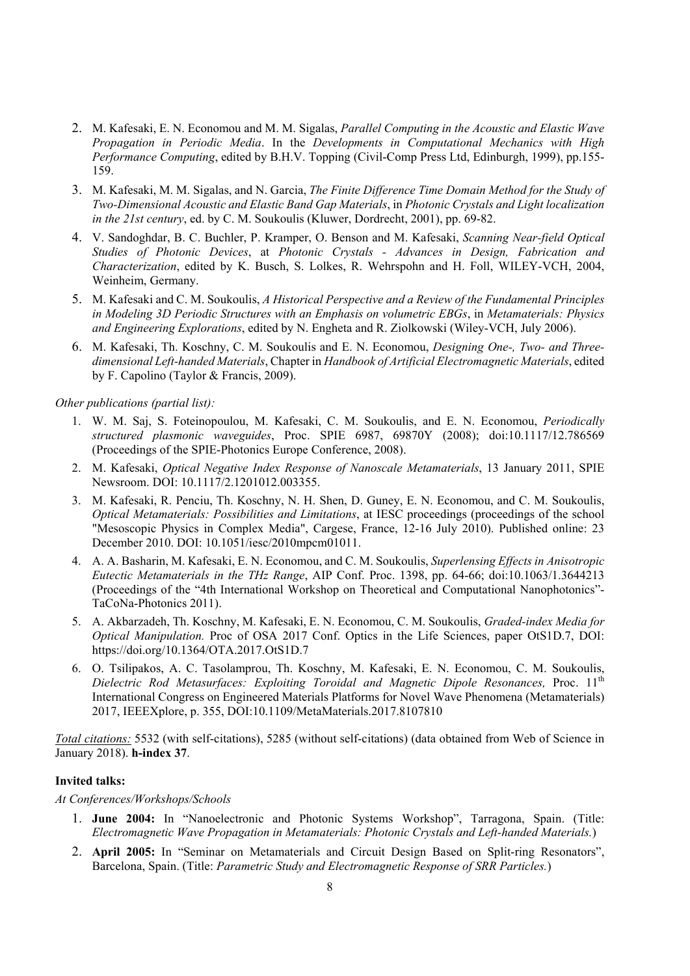- 2. M. Kafesaki, E. N. Economou and M. M. Sigalas, *Parallel Computing in the Acoustic and Elastic Wave Propagation in Periodic Media*. In the *Developments in Computational Mechanics with High Performance Computing*, edited by B.H.V. Topping (Civil-Comp Press Ltd, Edinburgh, 1999), pp.155- 159.
- 3. M. Kafesaki, M. M. Sigalas, and N. Garcia, *The Finite Difference Time Domain Method for the Study of Two-Dimensional Acoustic and Elastic Band Gap Materials*, in *Photonic Crystals and Light localization in the 21st century*, ed. by C. M. Soukoulis (Kluwer, Dordrecht, 2001), pp. 69-82.
- 4. V. Sandoghdar, B. C. Buchler, P. Kramper, O. Benson and M. Kafesaki, *Scanning Near-field Optical Studies of Photonic Devices*, at *Photonic Crystals - Advances in Design, Fabrication and Characterization*, edited by K. Busch, S. Lolkes, R. Wehrspohn and H. Foll, WILEY-VCH, 2004, Weinheim, Germany.
- 5. M. Kafesaki and C. M. Soukoulis, *A Historical Perspective and a Review of the Fundamental Principles in Modeling 3D Periodic Structures with an Emphasis on volumetric EBGs*, in *Metamaterials: Physics and Engineering Explorations*, edited by N. Engheta and R. Ziolkowski (Wiley-VCH, July 2006).
- 6. M. Kafesaki, Th. Koschny, C. M. Soukoulis and E. N. Economou, *Designing One-, Two- and Threedimensional Left-handed Materials*, Chapter in *Handbook of Artificial Electromagnetic Materials*, edited by F. Capolino (Taylor & Francis, 2009).

#### *Other publications (partial list):*

- 1. W. M. Saj, S. Foteinopoulou, M. Kafesaki, C. M. Soukoulis, and E. N. Economou, *Periodically structured plasmonic waveguides*, Proc. SPIE 6987, 69870Y (2008); doi:10.1117/12.786569 (Proceedings of the SPIE-Photonics Europe Conference, 2008).
- 2. M. Kafesaki, *Optical Negative Index Response of Nanoscale Metamaterials*, 13 January 2011, SPIE Newsroom. DOI: 10.1117/2.1201012.003355.
- 3. M. Kafesaki, R. Penciu, Th. Koschny, N. H. Shen, D. Guney, E. N. Economou, and C. M. Soukoulis, *Optical Metamaterials: Possibilities and Limitations*, at IESC proceedings (proceedings of the school "Mesoscopic Physics in Complex Media", Cargese, France, 12-16 July 2010). Published online: 23 December 2010. DOI: 10.1051/iesc/2010mpcm01011.
- 4. A. A. Basharin, M. Kafesaki, E. N. Economou, and C. M. Soukoulis, *Superlensing Effects in Anisotropic Eutectic Metamaterials in the THz Range*, AIP Conf. Proc. 1398, pp. 64-66; doi:10.1063/1.3644213 (Proceedings of the "4th International Workshop on Theoretical and Computational Nanophotonics"- TaCoNa-Photonics 2011).
- 5. A. Akbarzadeh, Th. Koschny, M. Kafesaki, E. N. Economou, C. M. Soukoulis, *Graded-index Media for Optical Manipulation.* Proc of OSA 2017 Conf. Optics in the Life Sciences, paper OtS1D.7, DOI: https://doi.org/10.1364/OTA.2017.OtS1D.7
- 6. O. Tsilipakos, A. C. Tasolamprou, Th. Koschny, M. Kafesaki, E. N. Economou, C. M. Soukoulis, *Dielectric Rod Metasurfaces: Exploiting Toroidal and Magnetic Dipole Resonances,* Proc. 11th International Congress on Engineered Materials Platforms for Novel Wave Phenomena (Metamaterials) 2017, IEEEXplore, p. 355, DOI:10.1109/MetaMaterials.2017.8107810

*Total citations:* 5532 (with self-citations), 5285 (without self-citations) (data obtained from Web of Science in January 2018). **h-index 37**.

#### **Invited talks:**

#### *At Conferences/Workshops/Schools*

- 1. **June 2004:** In "Nanoelectronic and Photonic Systems Workshop", Tarragona, Spain. (Title: *Electromagnetic Wave Propagation in Metamaterials: Photonic Crystals and Left-handed Materials.*)
- 2. **April 2005:** In "Seminar on Metamaterials and Circuit Design Based on Split-ring Resonators", Barcelona, Spain. (Title: *Parametric Study and Electromagnetic Response of SRR Particles.*)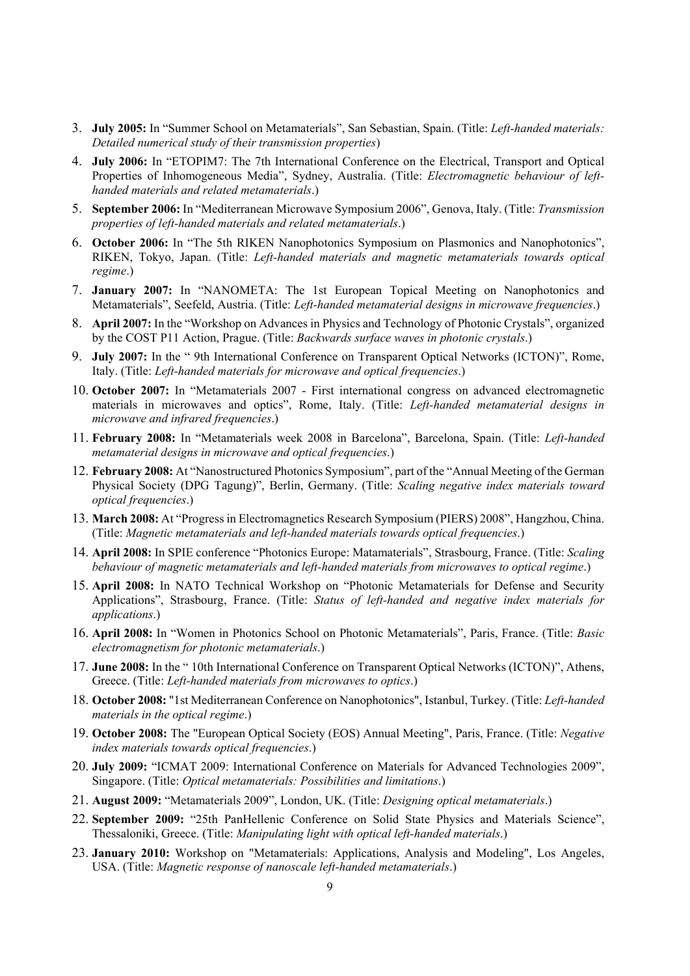- 3. **July 2005:** In "Summer School on Metamaterials", San Sebastian, Spain. (Title: *Left-handed materials: Detailed numerical study of their transmission properties*)
- 4. **July 2006:** In "ETOPIM7: The 7th International Conference on the Electrical, Transport and Optical Properties of Inhomogeneous Media", Sydney, Australia. (Title: *Electromagnetic behaviour of lefthanded materials and related metamaterials*.)
- 5. **September 2006:** In "Mediterranean Microwave Symposium 2006", Genova, Italy. (Title: *Transmission properties of left-handed materials and related metamaterials*.)
- 6. **October 2006:** In "The 5th RIKEN Nanophotonics Symposium on Plasmonics and Nanophotonics", RIKEN, Tokyo, Japan. (Title: *Left-handed materials and magnetic metamaterials towards optical regime*.)
- 7. **January 2007:** In "NANOMETA: The 1st European Topical Meeting on Nanophotonics and Metamaterials", Seefeld, Austria. (Title: *Left-handed metamaterial designs in microwave frequencies*.)
- 8. **April 2007:** In the "Workshop on Advances in Physics and Technology of Photonic Crystals", organized by the COST P11 Action, Prague. (Title: *Backwards surface waves in photonic crystals*.)
- 9. **July 2007:** In the " 9th International Conference on Transparent Optical Networks (ICTON)", Rome, Italy. (Title: *Left-handed materials for microwave and optical frequencies*.)
- 10. **October 2007:** In "Metamaterials 2007 First international congress on advanced electromagnetic materials in microwaves and optics", Rome, Italy. (Title: *Left-handed metamaterial designs in microwave and infrared frequencies*.)
- 11. **February 2008:** In "Metamaterials week 2008 in Barcelona", Barcelona, Spain. (Title: *Left-handed metamaterial designs in microwave and optical frequencies*.)
- 12. **February 2008:** At "Nanostructured Photonics Symposium", part of the "Annual Meeting of the German Physical Society (DPG Tagung)", Berlin, Germany. (Title: *Scaling negative index materials toward optical frequencies*.)
- 13. **March 2008:** At "Progress in Electromagnetics Research Symposium (PIERS) 2008", Hangzhou, China. (Title: *Magnetic metamaterials and left-handed materials towards optical frequencies*.)
- 14. **April 2008:** In SPIE conference "Photonics Europe: Matamaterials", Strasbourg, France. (Title: *Scaling behaviour of magnetic metamaterials and left-handed materials from microwaves to optical regime*.)
- 15. **April 2008:** In NATO Technical Workshop on "Photonic Metamaterials for Defense and Security Applications", Strasbourg, France. (Title: *Status of left-handed and negative index materials for applications*.)
- 16. **April 2008:** In "Women in Photonics School on Photonic Metamaterials", Paris, France. (Title: *Basic electromagnetism for photonic metamaterials*.)
- 17. **June 2008:** In the " 10th International Conference on Transparent Optical Networks (ICTON)", Athens, Greece. (Title: *Left-handed materials from microwaves to optics*.)
- 18. **October 2008:** "1st Mediterranean Conference on Nanophotonics", Istanbul, Turkey. (Title: *Left-handed materials in the optical regime*.)
- 19. **October 2008:** The "European Optical Society (EOS) Annual Meeting", Paris, France. (Title: *Negative index materials towards optical frequencies*.)
- 20. **July 2009:** "ICMAT 2009: International Conference on Materials for Advanced Technologies 2009", Singapore. (Title: *Optical metamaterials: Possibilities and limitations*.)
- 21. **August 2009:** "Metamaterials 2009", London, UK. (Title: *Designing optical metamaterials*.)
- 22. **September 2009:** "25th PanHellenic Conference on Solid State Physics and Materials Science", Thessaloniki, Greece. (Title: *Manipulating light with optical left-handed materials*.)
- 23. **January 2010:** Workshop on "Metamaterials: Applications, Analysis and Modeling", Los Angeles, USA. (Title: *Magnetic response of nanoscale left-handed metamaterials*.)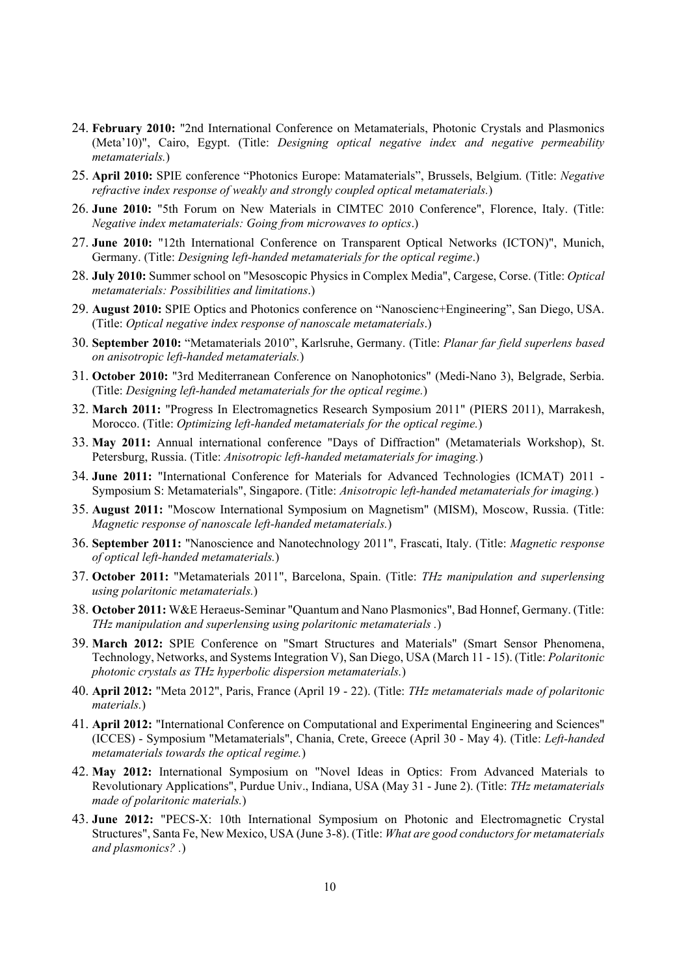- 24. **February 2010:** "2nd International Conference on Metamaterials, Photonic Crystals and Plasmonics (Meta'10)", Cairo, Egypt. (Title: *Designing optical negative index and negative permeability metamaterials.*)
- 25. **April 2010:** SPIE conference "Photonics Europe: Matamaterials", Brussels, Belgium. (Title: *Negative refractive index response of weakly and strongly coupled optical metamaterials.*)
- 26. **June 2010:** "5th Forum on New Materials in CIMTEC 2010 Conference", Florence, Italy. (Title: *Negative index metamaterials: Going from microwaves to optics*.)
- 27. **June 2010:** "12th International Conference on Transparent Optical Networks (ICTON)", Munich, Germany. (Title: *Designing left-handed metamaterials for the optical regime*.)
- 28. **July 2010:** Summer school on "Mesoscopic Physics in Complex Media", Cargese, Corse. (Title: *Optical metamaterials: Possibilities and limitations*.)
- 29. **August 2010:** SPIE Optics and Photonics conference on "Nanoscienc+Engineering", San Diego, USA. (Title: *Optical negative index response of nanoscale metamaterials*.)
- 30. **September 2010:** "Metamaterials 2010", Karlsruhe, Germany. (Title: *Planar far field superlens based on anisotropic left-handed metamaterials.*)
- 31. **October 2010:** "3rd Mediterranean Conference on Nanophotonics" (Medi-Nano 3), Belgrade, Serbia. (Title: *Designing left-handed metamaterials for the optical regime.*)
- 32. **March 2011:** "Progress In Electromagnetics Research Symposium 2011" (PIERS 2011), Marrakesh, Morocco. (Title: *Optimizing left-handed metamaterials for the optical regime.*)
- 33. **May 2011:** Annual international conference "Days of Diffraction" (Metamaterials Workshop), St. Petersburg, Russia. (Title: *Anisotropic left-handed metamaterials for imaging.*)
- 34. **June 2011:** "International Conference for Materials for Advanced Technologies (ICMAT) 2011 Symposium S: Metamaterials", Singapore. (Title: *Anisotropic left-handed metamaterials for imaging.*)
- 35. **August 2011:** "Moscow International Symposium on Magnetism" (MISM), Moscow, Russia. (Title: *Magnetic response of nanoscale left-handed metamaterials.*)
- 36. **September 2011:** "Nanoscience and Nanotechnology 2011", Frascati, Italy. (Title: *Magnetic response of optical left-handed metamaterials.*)
- 37. **October 2011:** "Metamaterials 2011", Barcelona, Spain. (Title: *THz manipulation and superlensing using polaritonic metamaterials.*)
- 38. **October 2011:** W&E Heraeus-Seminar "Quantum and Nano Plasmonics", Bad Honnef, Germany. (Title: *THz manipulation and superlensing using polaritonic metamaterials .*)
- 39. **March 2012:** SPIE Conference on "Smart Structures and Materials" (Smart Sensor Phenomena, Technology, Networks, and Systems Integration V), San Diego, USA (March 11 - 15). (Title: *Polaritonic photonic crystals as THz hyperbolic dispersion metamaterials.*)
- 40. **April 2012:** "Meta 2012", Paris, France (April 19 22). (Title: *THz metamaterials made of polaritonic materials.*)
- 41. **April 2012:** "International Conference on Computational and Experimental Engineering and Sciences" (ICCES) - Symposium "Metamaterials", Chania, Crete, Greece (April 30 - May 4). (Title: *Left-handed metamaterials towards the optical regime.*)
- 42. **May 2012:** International Symposium on "Novel Ideas in Optics: From Advanced Materials to Revolutionary Applications", Purdue Univ., Indiana, USA (May 31 - June 2). (Title: *THz metamaterials made of polaritonic materials.*)
- 43. **June 2012:** "PECS-X: 10th International Symposium on Photonic and Electromagnetic Crystal Structures", Santa Fe, New Mexico, USA (June 3-8). (Title: *What are good conductors for metamaterials and plasmonics? .*)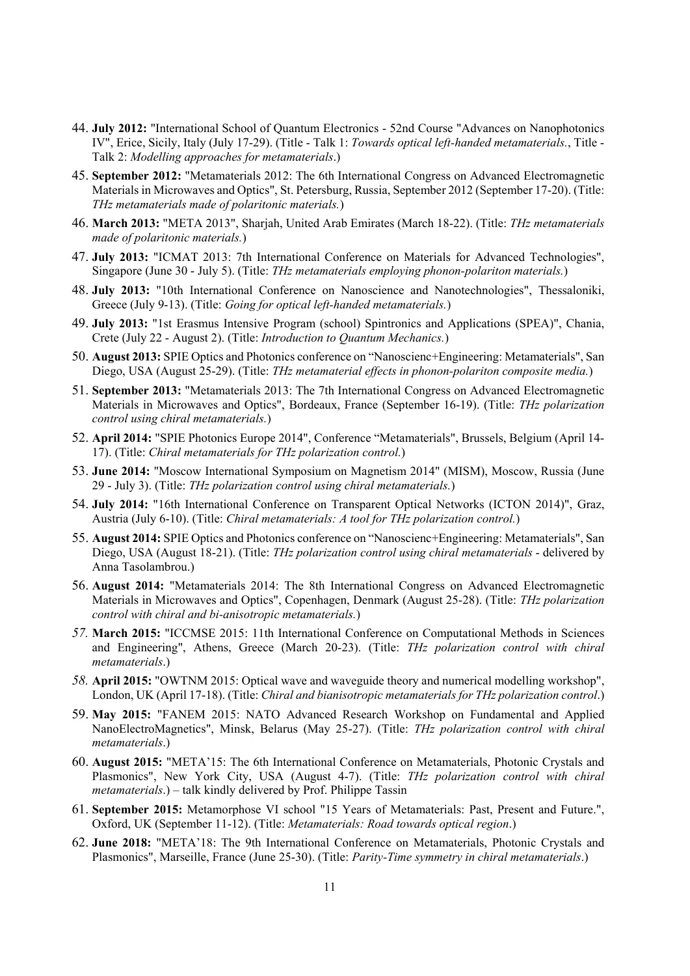- 44. **July 2012:** "International School of Quantum Electronics 52nd Course "Advances on Nanophotonics IV", Erice, Sicily, Italy (July 17-29). (Title - Talk 1: *Towards optical left-handed metamaterials.*, Title - Talk 2: *Modelling approaches for metamaterials*.)
- 45. **September 2012:** "Metamaterials 2012: The 6th International Congress on Advanced Electromagnetic Materials in Microwaves and Optics", St. Petersburg, Russia, September 2012 (September 17-20). (Title: *THz metamaterials made of polaritonic materials.*)
- 46. **March 2013:** "META 2013", Sharjah, United Arab Emirates (March 18-22). (Title: *THz metamaterials made of polaritonic materials.*)
- 47. **July 2013:** "ICMAT 2013: 7th International Conference on Materials for Advanced Technologies", Singapore (June 30 - July 5). (Title: *THz metamaterials employing phonon-polariton materials.*)
- 48. **July 2013:** "10th International Conference on Nanoscience and Nanotechnologies", Thessaloniki, Greece (July 9-13). (Title: *Going for optical left-handed metamaterials.*)
- 49. **July 2013:** "1st Erasmus Intensive Program (school) Spintronics and Applications (SPEA)", Chania, Crete (July 22 - August 2). (Title: *Introduction to Quantum Mechanics.*)
- 50. **August 2013:** SPIE Optics and Photonics conference on "Nanoscienc+Engineering: Metamaterials", San Diego, USA (August 25-29). (Title: *THz metamaterial effects in phonon-polariton composite media.*)
- 51. **September 2013:** "Metamaterials 2013: The 7th International Congress on Advanced Electromagnetic Materials in Microwaves and Optics", Bordeaux, France (September 16-19). (Title: *THz polarization control using chiral metamaterials.*)
- 52. **April 2014:** "SPIE Photonics Europe 2014", Conference "Metamaterials", Brussels, Belgium (April 14- 17). (Title: *Chiral metamaterials for THz polarization control.*)
- 53. **June 2014:** "Moscow International Symposium on Magnetism 2014" (MISM), Moscow, Russia (June 29 - July 3). (Title: *THz polarization control using chiral metamaterials.*)
- 54. **July 2014:** "16th International Conference on Transparent Optical Networks (ICTON 2014)", Graz, Austria (July 6-10). (Title: *Chiral metamaterials: A tool for THz polarization control.*)
- 55. **August 2014:** SPIE Optics and Photonics conference on "Nanoscienc+Engineering: Metamaterials", San Diego, USA (August 18-21). (Title: *THz polarization control using chiral metamaterials* - delivered by Anna Tasolambrou.)
- 56. **August 2014:** "Metamaterials 2014: The 8th International Congress on Advanced Electromagnetic Materials in Microwaves and Optics", Copenhagen, Denmark (August 25-28). (Title: *THz polarization control with chiral and bi-anisotropic metamaterials.*)
- *57.* **March 2015:** "ICCMSE 2015: 11th International Conference on Computational Methods in Sciences and Engineering", Athens, Greece (March 20-23). (Title: *THz polarization control with chiral metamaterials*.)
- *58.* **April 2015:** "OWTNM 2015: Optical wave and waveguide theory and numerical modelling workshop", London, UK (April 17-18). (Title: *Chiral and bianisotropic metamaterials for THz polarization control*.)
- 59. **May 2015:** "FANEM 2015: NATO Advanced Research Workshop on Fundamental and Applied NanoElectroMagnetics", Minsk, Belarus (May 25-27). (Title: *THz polarization control with chiral metamaterials*.)
- 60. **August 2015:** "META'15: The 6th International Conference on Metamaterials, Photonic Crystals and Plasmonics", New York City, USA (August 4-7). (Title: *THz polarization control with chiral metamaterials*.) – talk kindly delivered by Prof. Philippe Tassin
- 61. **September 2015:** Metamorphose VI school "15 Years of Metamaterials: Past, Present and Future.", Oxford, UK (September 11-12). (Title: *Metamaterials: Road towards optical region*.)
- 62. **June 2018:** "META'18: The 9th International Conference on Metamaterials, Photonic Crystals and Plasmonics", Marseille, France (June 25-30). (Title: *Parity-Time symmetry in chiral metamaterials*.)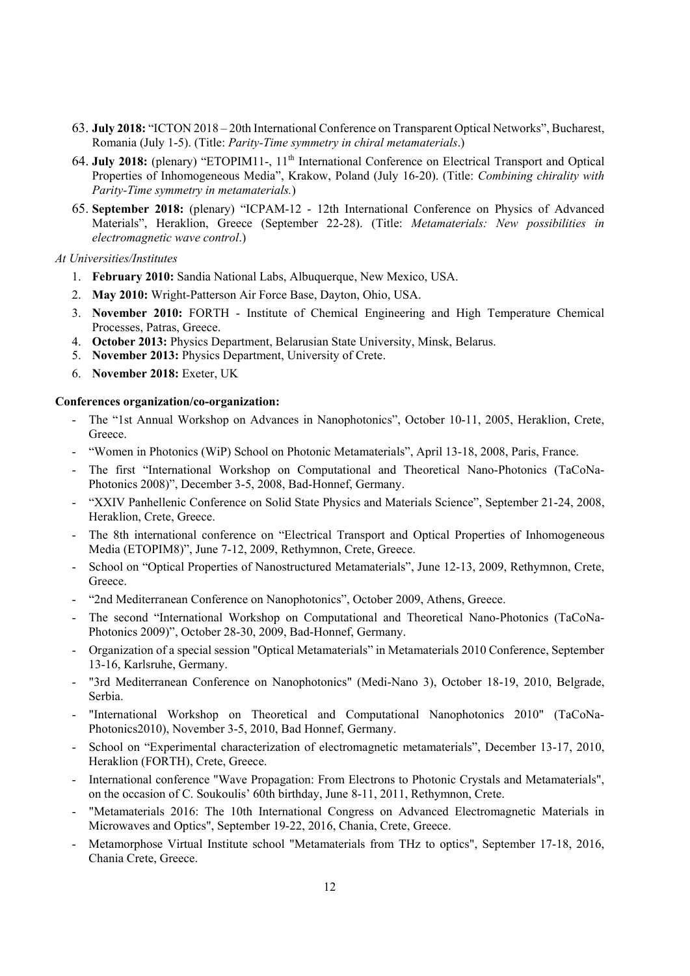- 63. **July 2018:** "ICTON 2018 20th International Conference on Transparent Optical Networks", Bucharest, Romania (July 1-5). (Title: *Parity-Time symmetry in chiral metamaterials*.)
- 64. **July 2018:** (plenary) "ETOPIM11-, 11th International Conference on Electrical Transport and Optical Properties of Inhomogeneous Media", Krakow, Poland (July 16-20). (Title: *Combining chirality with Parity-Time symmetry in metamaterials.*)
- 65. **September 2018:** (plenary) "ICPAM-12 12th International Conference on Physics of Advanced Materials", Heraklion, Greece (September 22-28). (Title: *Metamaterials: New possibilities in electromagnetic wave control*.)

*At Universities/Institutes*

- 1. **February 2010:** Sandia National Labs, Albuquerque, New Mexico, USA.
- 2. **May 2010:** Wright-Patterson Air Force Base, Dayton, Ohio, USA.
- 3. **November 2010:** FORTH Institute of Chemical Engineering and High Temperature Chemical Processes, Patras, Greece.
- 4. **October 2013:** Physics Department, Belarusian State University, Minsk, Belarus.
- 5. **November 2013:** Physics Department, University of Crete.
- 6. **November 2018:** Exeter, UK

#### **Conferences organization/co-organization:**

- The "1st Annual Workshop on Advances in Nanophotonics", October 10-11, 2005, Heraklion, Crete, Greece.
- "Women in Photonics (WiP) School on Photonic Metamaterials", April 13-18, 2008, Paris, France.
- The first "International Workshop on Computational and Theoretical Nano-Photonics (TaCoNa-Photonics 2008)", December 3-5, 2008, Bad-Honnef, Germany.
- "XXIV Panhellenic Conference on Solid State Physics and Materials Science", September 21-24, 2008, Heraklion, Crete, Greece.
- The 8th international conference on "Electrical Transport and Optical Properties of Inhomogeneous Media (ETOPIM8)", June 7-12, 2009, Rethymnon, Crete, Greece.
- School on "Optical Properties of Nanostructured Metamaterials", June 12-13, 2009, Rethymnon, Crete, Greece.
- "2nd Mediterranean Conference on Nanophotonics", October 2009, Athens, Greece.
- The second "International Workshop on Computational and Theoretical Nano-Photonics (TaCoNa-Photonics 2009)", October 28-30, 2009, Bad-Honnef, Germany.
- Organization of a special session "Optical Metamaterials" in Metamaterials 2010 Conference, September 13-16, Karlsruhe, Germany.
- "3rd Mediterranean Conference on Nanophotonics" (Medi-Nano 3), October 18-19, 2010, Belgrade, Serbia.
- "International Workshop on Theoretical and Computational Nanophotonics 2010" (TaCoNa-Photonics2010), November 3-5, 2010, Bad Honnef, Germany.
- School on "Experimental characterization of electromagnetic metamaterials", December 13-17, 2010, Heraklion (FORTH), Crete, Greece.
- International conference "Wave Propagation: From Electrons to Photonic Crystals and Metamaterials", on the occasion of C. Soukoulis' 60th birthday, June 8-11, 2011, Rethymnon, Crete.
- "Metamaterials 2016: The 10th International Congress on Advanced Electromagnetic Materials in Microwaves and Optics", September 19-22, 2016, Chania, Crete, Greece.
- Metamorphose Virtual Institute school "Metamaterials from THz to optics", September 17-18, 2016, Chania Crete, Greece.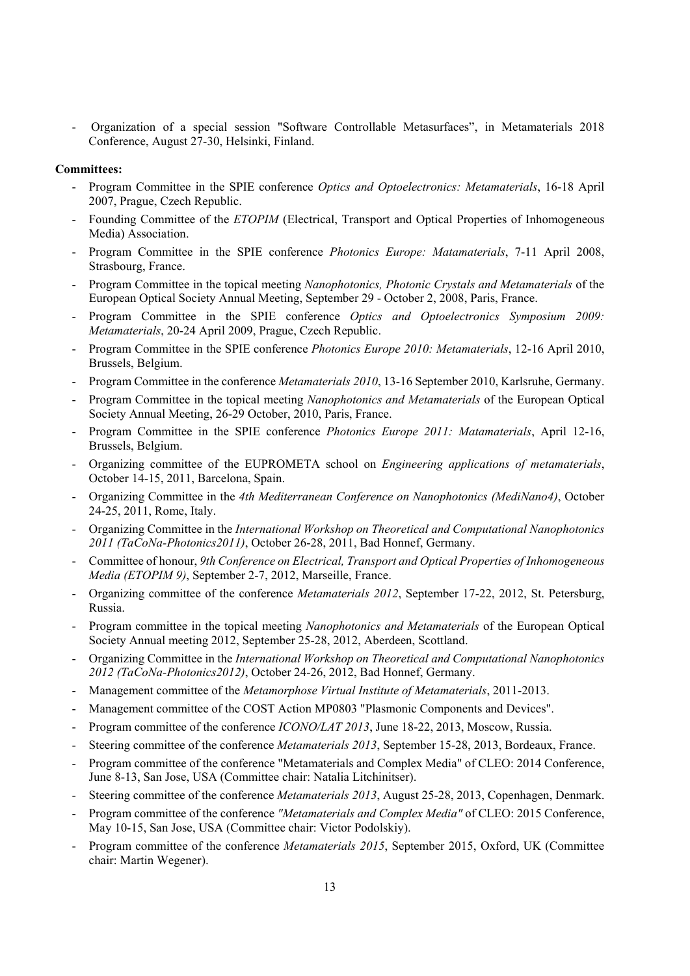- Organization of a special session "Software Controllable Metasurfaces", in Metamaterials 2018 Conference, August 27-30, Helsinki, Finland.

#### **Committees:**

- Program Committee in the SPIE conference *Optics and Optoelectronics: Metamaterials*, 16-18 April 2007, Prague, Czech Republic.
- Founding Committee of the *ETOPIM* (Electrical, Transport and Optical Properties of Inhomogeneous Media) Association.
- Program Committee in the SPIE conference *Photonics Europe: Matamaterials*, 7-11 April 2008, Strasbourg, France.
- Program Committee in the topical meeting *Nanophotonics, Photonic Crystals and Metamaterials* of the European Optical Society Annual Meeting, September 29 - October 2, 2008, Paris, France.
- Program Committee in the SPIE conference *Optics and Optoelectronics Symposium 2009*: *Metamaterials*, 20-24 April 2009, Prague, Czech Republic.
- Program Committee in the SPIE conference *Photonics Europe 2010: Metamaterials*, 12-16 April 2010, Brussels, Belgium.
- Program Committee in the conference *Metamaterials 2010*, 13-16 September 2010, Karlsruhe, Germany.
- Program Committee in the topical meeting *Nanophotonics and Metamaterials* of the European Optical Society Annual Meeting, 26-29 October, 2010, Paris, France.
- Program Committee in the SPIE conference *Photonics Europe 2011: Matamaterials*, April 12-16, Brussels, Belgium.
- Organizing committee of the EUPROMETA school on *Engineering applications of metamaterials*, October 14-15, 2011, Barcelona, Spain.
- Organizing Committee in the *4th Mediterranean Conference on Nanophotonics (MediNano4)*, October 24-25, 2011, Rome, Italy.
- Organizing Committee in the *International Workshop on Theoretical and Computational Nanophotonics 2011 (TaCoNa-Photonics2011)*, October 26-28, 2011, Bad Honnef, Germany.
- Committee of honour, *9th Conference on Electrical, Transport and Optical Properties of Inhomogeneous Media (ETOPIM 9)*, September 2-7, 2012, Marseille, France.
- Organizing committee of the conference *Metamaterials 2012*, September 17-22, 2012, St. Petersburg, Russia.
- Program committee in the topical meeting *Nanophotonics and Metamaterials* of the European Optical Society Annual meeting 2012, September 25-28, 2012, Aberdeen, Scottland.
- Organizing Committee in the *International Workshop on Theoretical and Computational Nanophotonics 2012 (TaCoNa-Photonics2012)*, October 24-26, 2012, Bad Honnef, Germany.
- Management committee of the *Metamorphose Virtual Institute of Metamaterials*, 2011-2013.
- Management committee of the COST Action MP0803 "Plasmonic Components and Devices".
- Program committee of the conference *ICONO/LAT 2013*, June 18-22, 2013, Moscow, Russia.
- Steering committee of the conference *Metamaterials 2013*, September 15-28, 2013, Bordeaux, France.
- Program committee of the conference "Metamaterials and Complex Media" of CLEO: 2014 Conference, June 8-13, San Jose, USA (Committee chair: Natalia Litchinitser).
- Steering committee of the conference *Metamaterials 2013*, August 25-28, 2013, Copenhagen, Denmark.
- Program committee of the conference *"Metamaterials and Complex Media"* of CLEO: 2015 Conference, May 10-15, San Jose, USA (Committee chair: Victor Podolskiy).
- Program committee of the conference *Metamaterials 2015*, September 2015, Oxford, UK (Committee chair: Martin Wegener).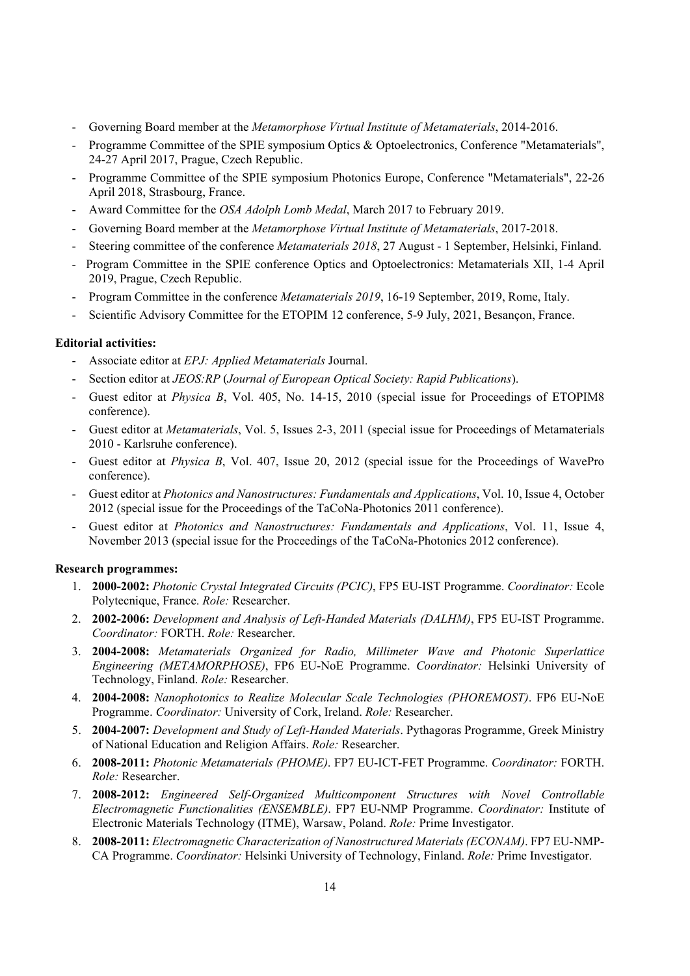- Governing Board member at the *Metamorphose Virtual Institute of Metamaterials*, 2014-2016.
- Programme Committee of the SPIE symposium Optics & Optoelectronics, Conference "Metamaterials", 24-27 April 2017, Prague, Czech Republic.
- Programme Committee of the SPIE symposium Photonics Europe, Conference "Metamaterials", 22-26 April 2018, Strasbourg, France.
- Award Committee for the *OSA Adolph Lomb Medal*, March 2017 to February 2019.
- Governing Board member at the *Metamorphose Virtual Institute of Metamaterials*, 2017-2018.
- Steering committee of the conference *Metamaterials 2018*, 27 August 1 September, Helsinki, Finland.
- Program Committee in the SPIE conference Optics and Optoelectronics: Metamaterials XII, 1-4 April 2019, Prague, Czech Republic.
- Program Committee in the conference *Metamaterials 2019*, 16-19 September, 2019, Rome, Italy.
- Scientific Advisory Committee for the ETOPIM 12 conference, 5-9 July, 2021, Besancon, France.

### **Editorial activities:**

- Associate editor at *EPJ: Applied Metamaterials* Journal.
- Section editor at *JEOS:RP* (*Journal of European Optical Society: Rapid Publications*).
- Guest editor at *Physica B*, Vol. 405, No. 14-15, 2010 (special issue for Proceedings of ETOPIM8 conference).
- Guest editor at *Metamaterials*, Vol. 5, Issues 2-3, 2011 (special issue for Proceedings of Metamaterials 2010 - Karlsruhe conference).
- Guest editor at *Physica B*, Vol. 407, Issue 20, 2012 (special issue for the Proceedings of WavePro conference).
- Guest editor at *Photonics and Nanostructures: Fundamentals and Applications*, Vol. 10, Issue 4, October 2012 (special issue for the Proceedings of the TaCoNa-Photonics 2011 conference).
- Guest editor at *Photonics and Nanostructures: Fundamentals and Applications*, Vol. 11, Issue 4, November 2013 (special issue for the Proceedings of the TaCoNa-Photonics 2012 conference).

#### **Research programmes:**

- 1. **2000-2002:** *Photonic Crystal Integrated Circuits (PCIC)*, FP5 EU-IST Programme. *Coordinator:* Ecole Polytecnique, France. *Role:* Researcher.
- 2. **2002-2006:** *Development and Analysis of Left-Handed Materials (DALHM)*, FP5 EU-IST Programme. *Coordinator:* FORTH. *Role:* Researcher.
- 3. **2004-2008:** *Metamaterials Organized for Radio, Millimeter Wave and Photonic Superlattice Engineering (METAMORPHOSE)*, FP6 EU-NoE Programme. *Coordinator:* Helsinki University of Technology, Finland. *Role:* Researcher.
- 4. **2004-2008:** *Nanophotonics to Realize Molecular Scale Technologies (PHOREMOST)*. FP6 EU-NoE Programme. *Coordinator:* University of Cork, Ireland. *Role:* Researcher.
- 5. **2004-2007:** *Development and Study of Left-Handed Materials*. Pythagoras Programme, Greek Ministry of National Education and Religion Affairs. *Role:* Researcher.
- 6. **2008-2011:** *Photonic Metamaterials (PHOME)*. FP7 EU-ICT-FET Programme. *Coordinator:* FORTH. *Role:* Researcher.
- 7. **2008-2012:** *Engineered Self-Organized Multicomponent Structures with Novel Controllable Electromagnetic Functionalities (ENSEMBLE)*. FP7 EU-NMP Programme. *Coordinator:* Institute of Electronic Materials Technology (ITME), Warsaw, Poland. *Role:* Prime Investigator.
- 8. **2008-2011:** *Electromagnetic Characterization of Nanostructured Materials (ECONAM)*. FP7 EU-NMP-CA Programme. *Coordinator:* Helsinki University of Technology, Finland. *Role:* Prime Investigator.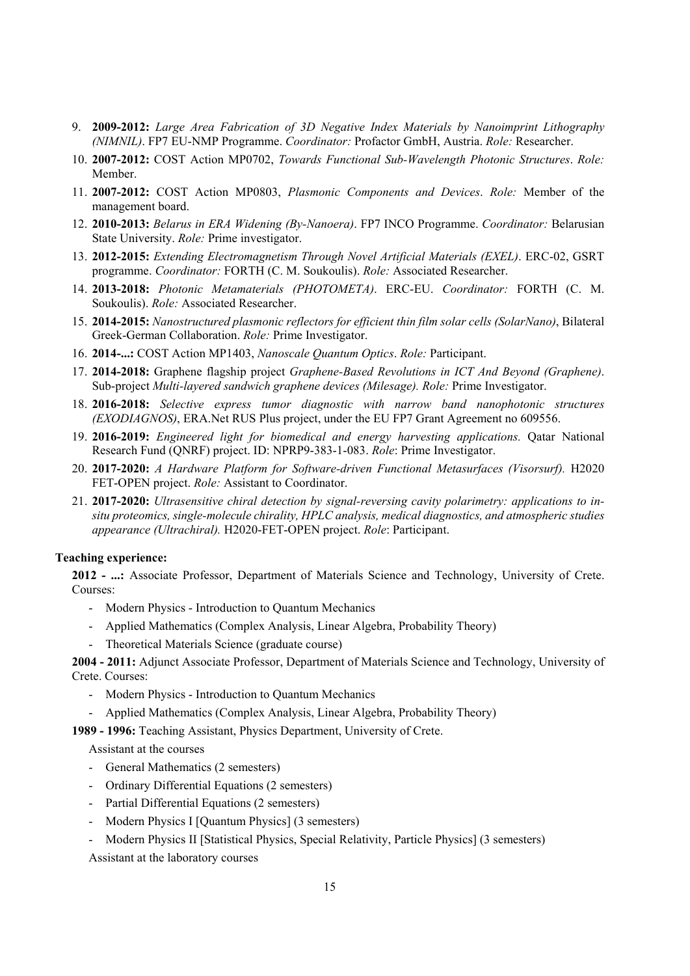- 9. **2009-2012:** *Large Area Fabrication of 3D Negative Index Materials by Nanoimprint Lithography (NIMNIL)*. FP7 EU-NMP Programme. *Coordinator:* Profactor GmbH, Austria. *Role:* Researcher.
- 10. **2007-2012:** COST Action MP0702, *Towards Functional Sub-Wavelength Photonic Structures*. *Role:* Member.
- 11. **2007-2012:** COST Action MP0803, *Plasmonic Components and Devices*. *Role:* Member of the management board.
- 12. **2010-2013:** *Belarus in ERA Widening (By-Nanoera)*. FP7 INCO Programme. *Coordinator:* Belarusian State University. *Role:* Prime investigator.
- 13. **2012-2015:** *Extending Electromagnetism Through Novel Artificial Materials (EXEL)*. ERC-02, GSRT programme. *Coordinator:* FORTH (C. M. Soukoulis). *Role:* Associated Researcher.
- 14. **2013-2018:** *Photonic Metamaterials (PHOTOMETA)*. ERC-EU. *Coordinator:* FORTH (C. M. Soukoulis). *Role:* Associated Researcher.
- 15. **2014-2015:** *Nanostructured plasmonic reflectors for efficient thin film solar cells (SolarNano)*, Bilateral Greek-German Collaboration. *Role:* Prime Investigator.
- 16. **2014-...:** COST Action MP1403, *Nanoscale Quantum Optics*. *Role:* Participant.
- 17. **2014-2018:** Graphene flagship project *Graphene-Based Revolutions in ICT And Beyond (Graphene)*. Sub-project *Multi-layered sandwich graphene devices (Milesage). Role:* Prime Investigator.
- 18. **2016-2018:** *Selective express tumor diagnostic with narrow band nanophotonic structures (EXODIAGNOS)*, ERA.Net RUS Plus project, under the EU FP7 Grant Agreement no 609556.
- 19. **2016-2019:** *Engineered light for biomedical and energy harvesting applications.* Qatar National Research Fund (QNRF) project. ID: NPRP9-383-1-083. *Role*: Prime Investigator.
- 20. **2017-2020:** *A Hardware Platform for Software-driven Functional Metasurfaces (Visorsurf).* H2020 FET-OPEN project. *Role:* Assistant to Coordinator.
- 21. **2017-2020:** *Ultrasensitive chiral detection by signal-reversing cavity polarimetry: applications to insitu proteomics, single-molecule chirality, HPLC analysis, medical diagnostics, and atmospheric studies appearance (Ultrachiral).* H2020-FET-OPEN project. *Role*: Participant.

### **Teaching experience:**

**2012 - ...:** Associate Professor, Department of Materials Science and Technology, University of Crete. Courses:

- Modern Physics Introduction to Quantum Mechanics
- Applied Mathematics (Complex Analysis, Linear Algebra, Probability Theory)
- Theoretical Materials Science (graduate course)

**2004 - 2011:** Adjunct Associate Professor, Department of Materials Science and Technology, University of Crete. Courses:

- Modern Physics Introduction to Quantum Mechanics
- Applied Mathematics (Complex Analysis, Linear Algebra, Probability Theory)

**1989 - 1996:** Teaching Assistant, Physics Department, University of Crete.

Assistant at the courses

- General Mathematics (2 semesters)
- Ordinary Differential Equations (2 semesters)
- Partial Differential Equations (2 semesters)
- Modern Physics I [Quantum Physics] (3 semesters)
- Modern Physics II [Statistical Physics, Special Relativity, Particle Physics] (3 semesters)

Assistant at the laboratory courses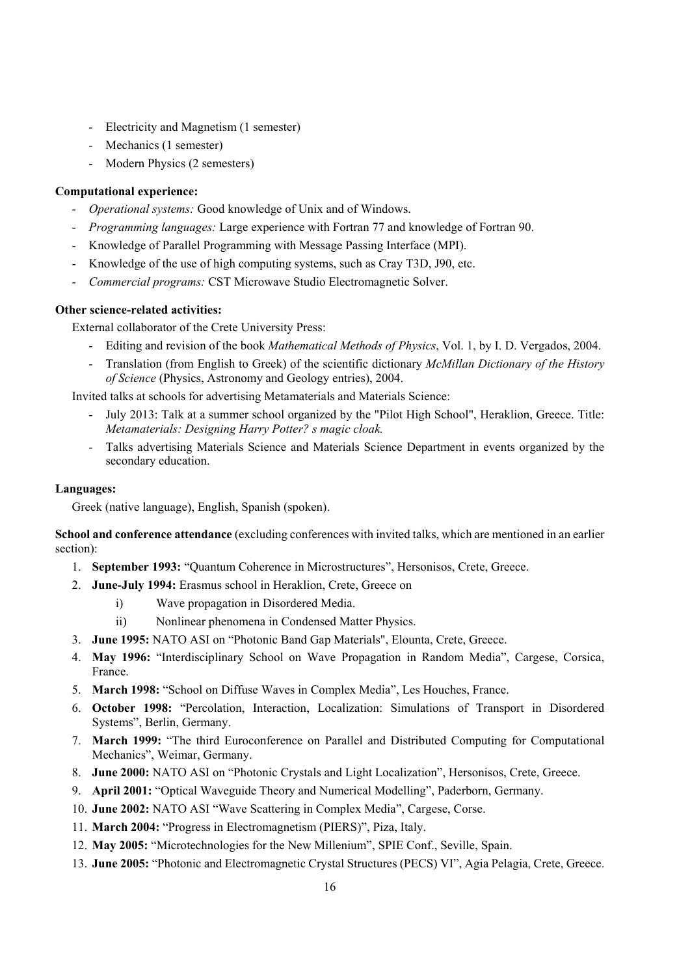- Electricity and Magnetism (1 semester)
- Mechanics (1 semester)
- Modern Physics (2 semesters)

# **Computational experience:**

- *Operational systems:* Good knowledge of Unix and of Windows.
- *Programming languages:* Large experience with Fortran 77 and knowledge of Fortran 90.
- Knowledge of Parallel Programming with Message Passing Interface (MPI).
- Knowledge of the use of high computing systems, such as Cray T3D, J90, etc.
- *Commercial programs:* CST Microwave Studio Electromagnetic Solver.

# **Other science-related activities:**

External collaborator of the Crete University Press:

- Editing and revision of the book *Mathematical Methods of Physics*, Vol. 1, by I. D. Vergados, 2004.
- Translation (from English to Greek) of the scientific dictionary *McMillan Dictionary of the History of Science* (Physics, Astronomy and Geology entries), 2004.

Invited talks at schools for advertising Metamaterials and Materials Science:

- July 2013: Talk at a summer school organized by the "Pilot High School", Heraklion, Greece. Title: *Metamaterials: Designing Harry Potter? s magic cloak.*
- Talks advertising Materials Science and Materials Science Department in events organized by the secondary education.

# **Languages:**

Greek (native language), English, Spanish (spoken).

**School and conference attendance** (excluding conferences with invited talks, which are mentioned in an earlier section):

- 1. **September 1993:** "Quantum Coherence in Microstructures", Hersonisos, Crete, Greece.
- 2. **June-July 1994:** Erasmus school in Heraklion, Crete, Greece on
	- i) Wave propagation in Disordered Media.
	- ii) Nonlinear phenomena in Condensed Matter Physics.
- 3. **June 1995:** NATO ASI on "Photonic Band Gap Materials", Elounta, Crete, Greece.
- 4. **May 1996:** "Interdisciplinary School on Wave Propagation in Random Media", Cargese, Corsica, France.
- 5. **March 1998:** "School on Diffuse Waves in Complex Media", Les Houches, France.
- 6. **October 1998:** "Percolation, Interaction, Localization: Simulations of Transport in Disordered Systems", Berlin, Germany.
- 7. **March 1999:** "The third Euroconference on Parallel and Distributed Computing for Computational Mechanics", Weimar, Germany.
- 8. **June 2000:** NATO ASI on "Photonic Crystals and Light Localization", Hersonisos, Crete, Greece.
- 9. **April 2001:** "Optical Waveguide Theory and Numerical Modelling", Paderborn, Germany.
- 10. **June 2002:** NATO ASI "Wave Scattering in Complex Media", Cargese, Corse.
- 11. **March 2004:** "Progress in Electromagnetism (PIERS)", Piza, Italy.
- 12. **May 2005:** "Microtechnologies for the New Millenium", SPIE Conf., Seville, Spain.
- 13. **June 2005:** "Photonic and Electromagnetic Crystal Structures (PECS) VI", Agia Pelagia, Crete, Greece.